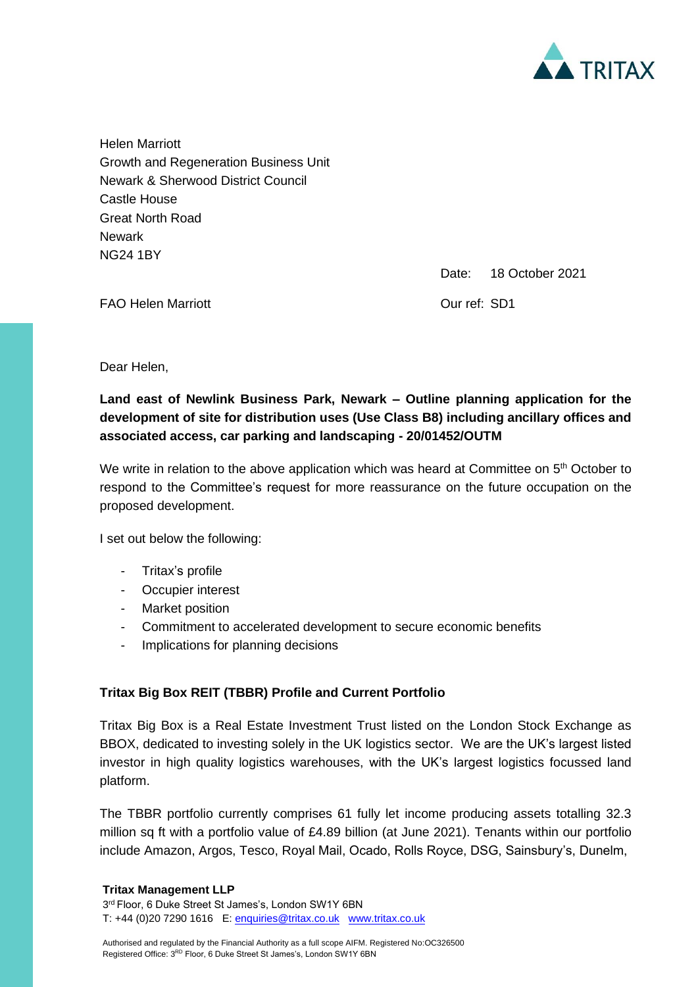

Helen Marriott Growth and Regeneration Business Unit Newark & Sherwood District Council Castle House Great North Road **Newark** NG24 1BY

Date: 18 October 2021

FAO Helen Marriott Our ref: SD1

Dear Helen,

**Land east of Newlink Business Park, Newark – Outline planning application for the development of site for distribution uses (Use Class B8) including ancillary offices and associated access, car parking and landscaping - 20/01452/OUTM**

We write in relation to the above application which was heard at Committee on 5<sup>th</sup> October to respond to the Committee's request for more reassurance on the future occupation on the proposed development.

I set out below the following:

- Tritax's profile
- Occupier interest
- Market position
- Commitment to accelerated development to secure economic benefits
- Implications for planning decisions

# **Tritax Big Box REIT (TBBR) Profile and Current Portfolio**

Tritax Big Box is a Real Estate Investment Trust listed on the London Stock Exchange as BBOX, dedicated to investing solely in the UK logistics sector. We are the UK's largest listed investor in high quality logistics warehouses, with the UK's largest logistics focussed land platform.

The TBBR portfolio currently comprises 61 fully let income producing assets totalling 32.3 million sq ft with a portfolio value of £4.89 billion (at June 2021). Tenants within our portfolio include Amazon, Argos, Tesco, Royal Mail, Ocado, Rolls Royce, DSG, Sainsbury's, Dunelm,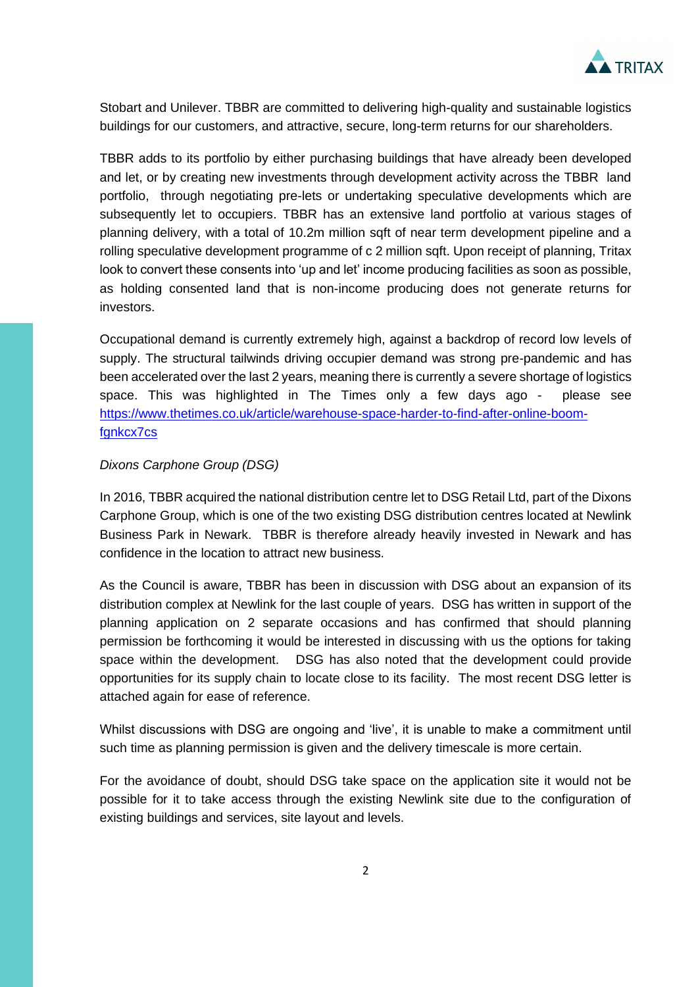

Stobart and Unilever. TBBR are committed to delivering high-quality and sustainable logistics buildings for our customers, and attractive, secure, long-term returns for our shareholders.

TBBR adds to its portfolio by either purchasing buildings that have already been developed and let, or by creating new investments through development activity across the TBBR land portfolio, through negotiating pre-lets or undertaking speculative developments which are subsequently let to occupiers. TBBR has an extensive land portfolio at various stages of planning delivery, with a total of 10.2m million sqft of near term development pipeline and a rolling speculative development programme of c 2 million sqft. Upon receipt of planning, Tritax look to convert these consents into 'up and let' income producing facilities as soon as possible, as holding consented land that is non-income producing does not generate returns for investors.

Occupational demand is currently extremely high, against a backdrop of record low levels of supply. The structural tailwinds driving occupier demand was strong pre-pandemic and has been accelerated over the last 2 years, meaning there is currently a severe shortage of logistics space. This was highlighted in The Times only a few days ago - please see [https://www.thetimes.co.uk/article/warehouse-space-harder-to-find-after-online-boom](https://www.thetimes.co.uk/article/warehouse-space-harder-to-find-after-online-boom-fgnkcx7cs)[fgnkcx7cs](https://www.thetimes.co.uk/article/warehouse-space-harder-to-find-after-online-boom-fgnkcx7cs)

### *Dixons Carphone Group (DSG)*

In 2016, TBBR acquired the national distribution centre let to DSG Retail Ltd, part of the Dixons Carphone Group, which is one of the two existing DSG distribution centres located at Newlink Business Park in Newark. TBBR is therefore already heavily invested in Newark and has confidence in the location to attract new business.

As the Council is aware, TBBR has been in discussion with DSG about an expansion of its distribution complex at Newlink for the last couple of years. DSG has written in support of the planning application on 2 separate occasions and has confirmed that should planning permission be forthcoming it would be interested in discussing with us the options for taking space within the development. DSG has also noted that the development could provide opportunities for its supply chain to locate close to its facility. The most recent DSG letter is attached again for ease of reference.

Whilst discussions with DSG are ongoing and 'live', it is unable to make a commitment until such time as planning permission is given and the delivery timescale is more certain.

For the avoidance of doubt, should DSG take space on the application site it would not be possible for it to take access through the existing Newlink site due to the configuration of existing buildings and services, site layout and levels.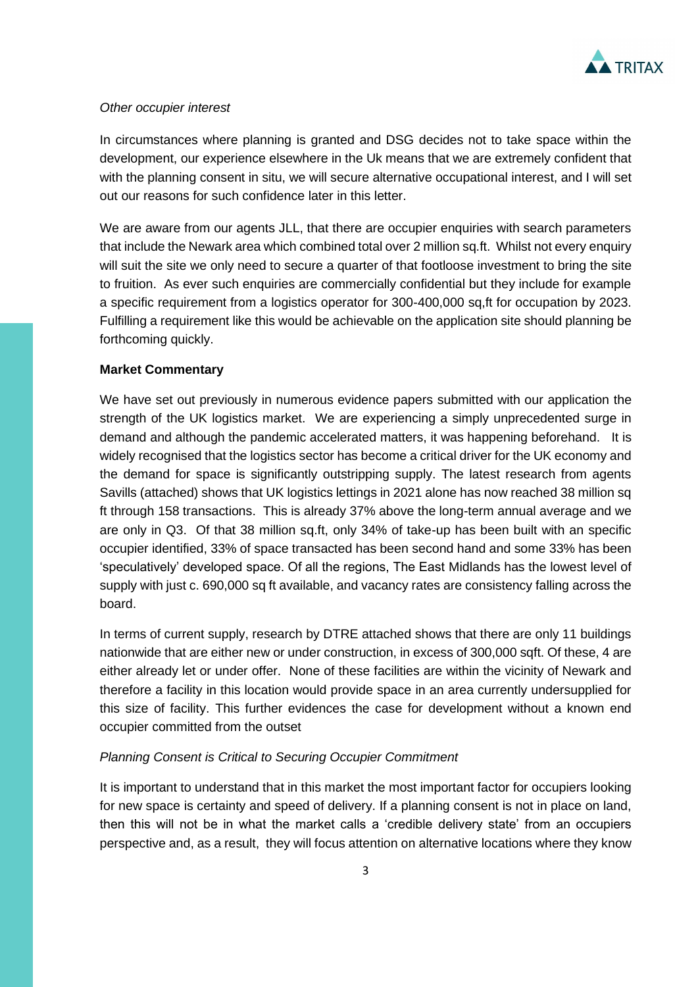

#### *Other occupier interest*

In circumstances where planning is granted and DSG decides not to take space within the development, our experience elsewhere in the Uk means that we are extremely confident that with the planning consent in situ, we will secure alternative occupational interest, and I will set out our reasons for such confidence later in this letter.

We are aware from our agents JLL, that there are occupier enquiries with search parameters that include the Newark area which combined total over 2 million sq.ft. Whilst not every enquiry will suit the site we only need to secure a quarter of that footloose investment to bring the site to fruition. As ever such enquiries are commercially confidential but they include for example a specific requirement from a logistics operator for 300-400,000 sq,ft for occupation by 2023. Fulfilling a requirement like this would be achievable on the application site should planning be forthcoming quickly.

### **Market Commentary**

We have set out previously in numerous evidence papers submitted with our application the strength of the UK logistics market. We are experiencing a simply unprecedented surge in demand and although the pandemic accelerated matters, it was happening beforehand. It is widely recognised that the logistics sector has become a critical driver for the UK economy and the demand for space is significantly outstripping supply. The latest research from agents Savills (attached) shows that UK logistics lettings in 2021 alone has now reached 38 million sq ft through 158 transactions. This is already 37% above the long-term annual average and we are only in Q3. Of that 38 million sq.ft, only 34% of take-up has been built with an specific occupier identified, 33% of space transacted has been second hand and some 33% has been 'speculatively' developed space. Of all the regions, The East Midlands has the lowest level of supply with just c. 690,000 sq ft available, and vacancy rates are consistency falling across the board.

In terms of current supply, research by DTRE attached shows that there are only 11 buildings nationwide that are either new or under construction, in excess of 300,000 sqft. Of these, 4 are either already let or under offer. None of these facilities are within the vicinity of Newark and therefore a facility in this location would provide space in an area currently undersupplied for this size of facility. This further evidences the case for development without a known end occupier committed from the outset

# *Planning Consent is Critical to Securing Occupier Commitment*

It is important to understand that in this market the most important factor for occupiers looking for new space is certainty and speed of delivery. If a planning consent is not in place on land, then this will not be in what the market calls a 'credible delivery state' from an occupiers perspective and, as a result, they will focus attention on alternative locations where they know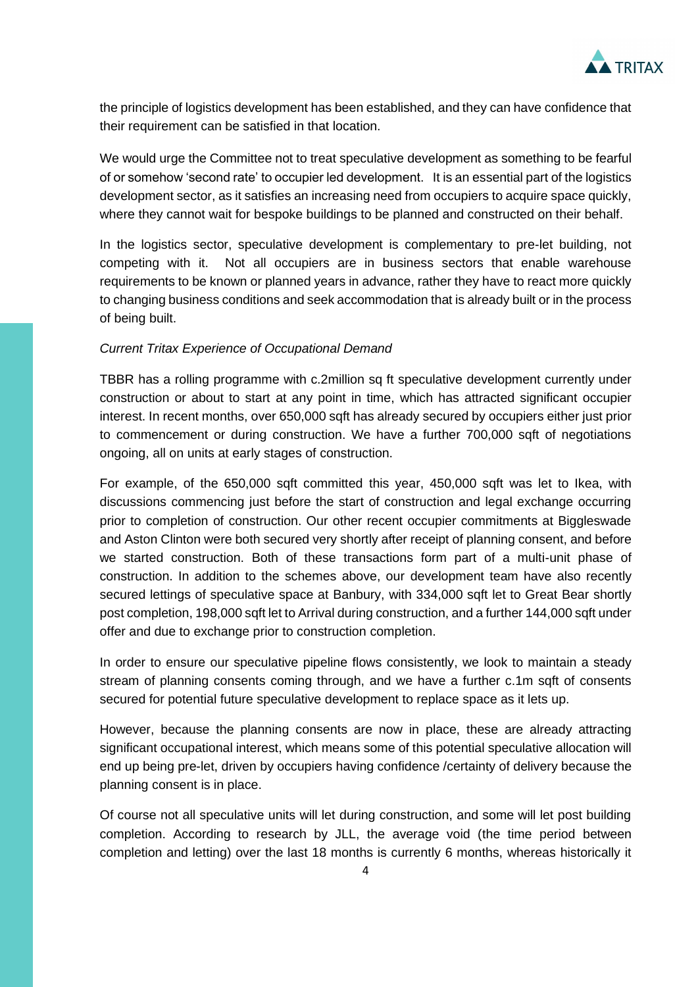

the principle of logistics development has been established, and they can have confidence that their requirement can be satisfied in that location.

We would urge the Committee not to treat speculative development as something to be fearful of or somehow 'second rate' to occupier led development. It is an essential part of the logistics development sector, as it satisfies an increasing need from occupiers to acquire space quickly, where they cannot wait for bespoke buildings to be planned and constructed on their behalf.

In the logistics sector, speculative development is complementary to pre-let building, not competing with it. Not all occupiers are in business sectors that enable warehouse requirements to be known or planned years in advance, rather they have to react more quickly to changing business conditions and seek accommodation that is already built or in the process of being built.

# *Current Tritax Experience of Occupational Demand*

TBBR has a rolling programme with c.2million sq ft speculative development currently under construction or about to start at any point in time, which has attracted significant occupier interest. In recent months, over 650,000 sqft has already secured by occupiers either just prior to commencement or during construction. We have a further 700,000 sqft of negotiations ongoing, all on units at early stages of construction.

For example, of the 650,000 sqft committed this year, 450,000 sqft was let to Ikea, with discussions commencing just before the start of construction and legal exchange occurring prior to completion of construction. Our other recent occupier commitments at Biggleswade and Aston Clinton were both secured very shortly after receipt of planning consent, and before we started construction. Both of these transactions form part of a multi-unit phase of construction. In addition to the schemes above, our development team have also recently secured lettings of speculative space at Banbury, with 334,000 sqft let to Great Bear shortly post completion, 198,000 sqft let to Arrival during construction, and a further 144,000 sqft under offer and due to exchange prior to construction completion.

In order to ensure our speculative pipeline flows consistently, we look to maintain a steady stream of planning consents coming through, and we have a further c.1m sqft of consents secured for potential future speculative development to replace space as it lets up.

However, because the planning consents are now in place, these are already attracting significant occupational interest, which means some of this potential speculative allocation will end up being pre-let, driven by occupiers having confidence /certainty of delivery because the planning consent is in place.

Of course not all speculative units will let during construction, and some will let post building completion. According to research by JLL, the average void (the time period between completion and letting) over the last 18 months is currently 6 months, whereas historically it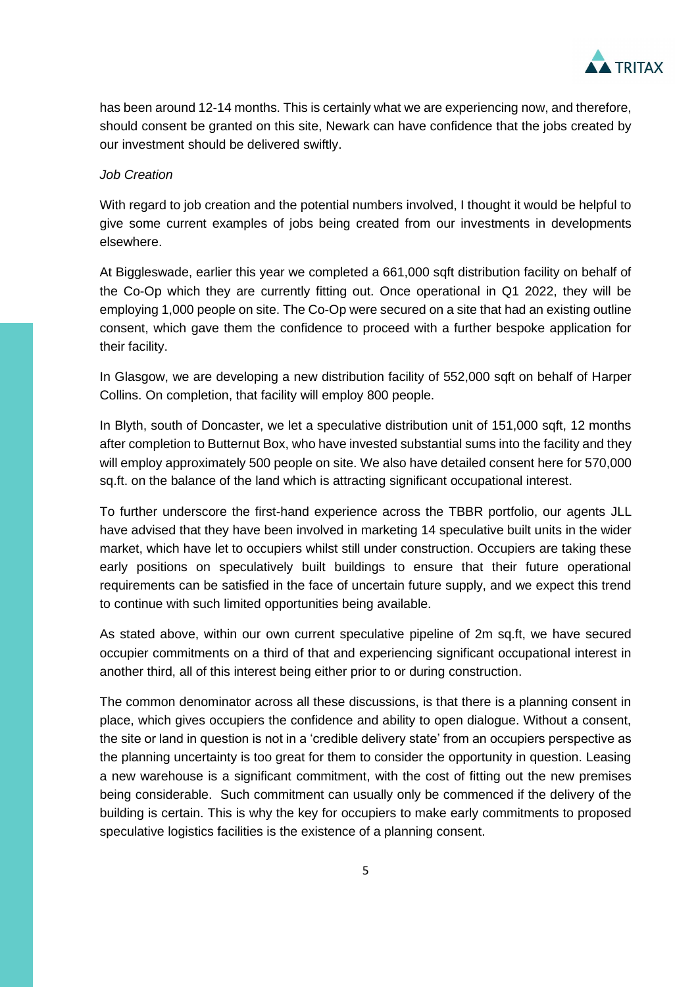

has been around 12-14 months. This is certainly what we are experiencing now, and therefore, should consent be granted on this site, Newark can have confidence that the jobs created by our investment should be delivered swiftly.

#### *Job Creation*

With regard to job creation and the potential numbers involved, I thought it would be helpful to give some current examples of jobs being created from our investments in developments elsewhere.

At Biggleswade, earlier this year we completed a 661,000 sqft distribution facility on behalf of the Co-Op which they are currently fitting out. Once operational in Q1 2022, they will be employing 1,000 people on site. The Co-Op were secured on a site that had an existing outline consent, which gave them the confidence to proceed with a further bespoke application for their facility.

In Glasgow, we are developing a new distribution facility of 552,000 sqft on behalf of Harper Collins. On completion, that facility will employ 800 people.

In Blyth, south of Doncaster, we let a speculative distribution unit of 151,000 sqft, 12 months after completion to Butternut Box, who have invested substantial sums into the facility and they will employ approximately 500 people on site. We also have detailed consent here for 570,000 sq.ft. on the balance of the land which is attracting significant occupational interest.

To further underscore the first-hand experience across the TBBR portfolio, our agents JLL have advised that they have been involved in marketing 14 speculative built units in the wider market, which have let to occupiers whilst still under construction. Occupiers are taking these early positions on speculatively built buildings to ensure that their future operational requirements can be satisfied in the face of uncertain future supply, and we expect this trend to continue with such limited opportunities being available.

As stated above, within our own current speculative pipeline of 2m sq.ft, we have secured occupier commitments on a third of that and experiencing significant occupational interest in another third, all of this interest being either prior to or during construction.

The common denominator across all these discussions, is that there is a planning consent in place, which gives occupiers the confidence and ability to open dialogue. Without a consent, the site or land in question is not in a 'credible delivery state' from an occupiers perspective as the planning uncertainty is too great for them to consider the opportunity in question. Leasing a new warehouse is a significant commitment, with the cost of fitting out the new premises being considerable. Such commitment can usually only be commenced if the delivery of the building is certain. This is why the key for occupiers to make early commitments to proposed speculative logistics facilities is the existence of a planning consent.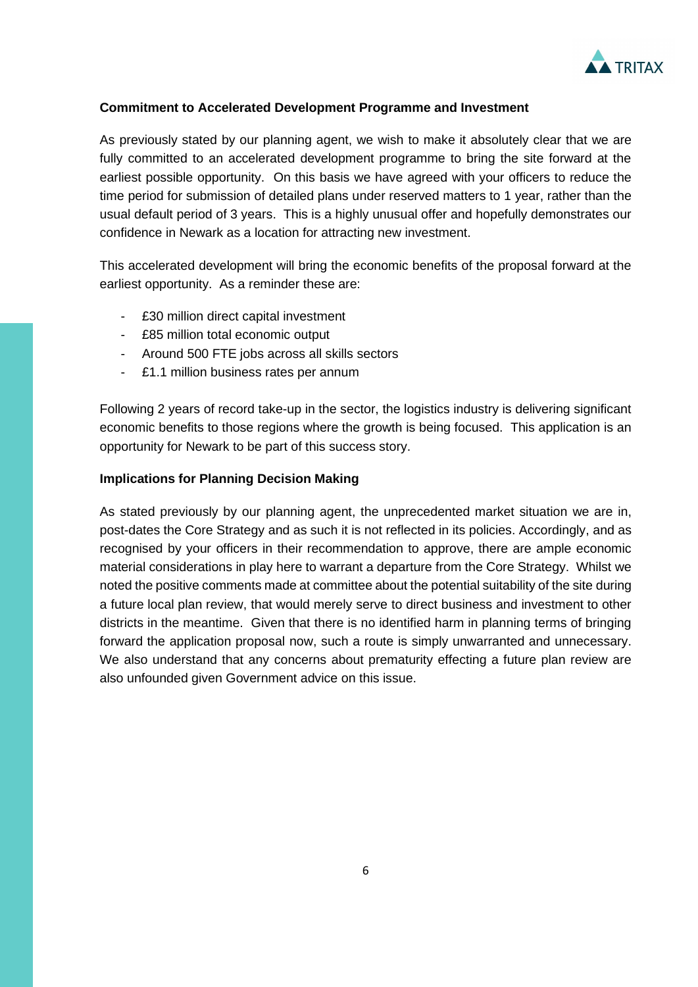

### **Commitment to Accelerated Development Programme and Investment**

As previously stated by our planning agent, we wish to make it absolutely clear that we are fully committed to an accelerated development programme to bring the site forward at the earliest possible opportunity. On this basis we have agreed with your officers to reduce the time period for submission of detailed plans under reserved matters to 1 year, rather than the usual default period of 3 years. This is a highly unusual offer and hopefully demonstrates our confidence in Newark as a location for attracting new investment.

This accelerated development will bring the economic benefits of the proposal forward at the earliest opportunity. As a reminder these are:

- £30 million direct capital investment
- £85 million total economic output
- Around 500 FTE jobs across all skills sectors
- £1.1 million business rates per annum

Following 2 years of record take-up in the sector, the logistics industry is delivering significant economic benefits to those regions where the growth is being focused. This application is an opportunity for Newark to be part of this success story.

#### **Implications for Planning Decision Making**

As stated previously by our planning agent, the unprecedented market situation we are in, post-dates the Core Strategy and as such it is not reflected in its policies. Accordingly, and as recognised by your officers in their recommendation to approve, there are ample economic material considerations in play here to warrant a departure from the Core Strategy. Whilst we noted the positive comments made at committee about the potential suitability of the site during a future local plan review, that would merely serve to direct business and investment to other districts in the meantime. Given that there is no identified harm in planning terms of bringing forward the application proposal now, such a route is simply unwarranted and unnecessary. We also understand that any concerns about prematurity effecting a future plan review are also unfounded given Government advice on this issue.